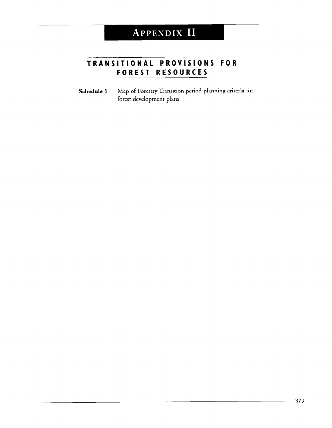# TRANSITIONAL PROVISIONS FOR FOREST RESOURCES

Schedule 1 Map of Forestry Transition period planning criteria for forest development plans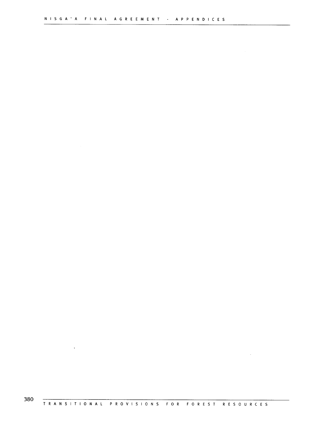$\mathcal{L}^{\text{max}}_{\text{max}}$  , where  $\mathcal{L}^{\text{max}}_{\text{max}}$ 

 $\mathcal{L}^{\text{max}}_{\text{max}}$  and  $\mathcal{L}^{\text{max}}_{\text{max}}$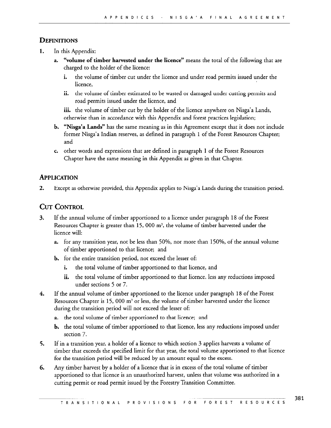### **DEFINITIONS**

- 1. In this Appendix:
	- a. "volume of timber harvested under the licence" means the total of the following that are charged to the holder of the licence:
		- i. the volume of timber cut under the licence and under road permits issued under the licence,
		- ii. the volume of timber estimated to be wasted or damaged under cutting permits and road permits issued under the licence, and

iii. the volume of timber cut by the holder of the licence anywhere on Nisga'a Lands, otherwise than in accordance with this Appendix and forest practices legislation;

- b. "Nisga'a Lands" has the same meaning as in this Agreement except that it does not include former Nisga'a Indian reserves, as defined in paragraph 1 of the Forest Resources Chapter; and
- c. other words and expressions that are defined in paragraph 1 of the Forest Resources Chapter have the same meaning in this Appendix as given in that Chapter.

### **APPLICATION**

2. Except as otherwise provided, this Appendix applies to Nisga'a Lands during the transition period.

### CUT CONTROL

- 3. If the annual volume of timber apportioned to a licence under paragraph 18 of the Forest Resources Chapter is greater than 15, 000  $m<sup>3</sup>$ , the volume of timber harvested under the licence will:
	- a. for any transition year, not be less than 50%, nor more than 150%, of the annual volume of timber apportioned to that licence; and
	- b. for the entire transition period, not exceed the lesser of:
		- i. the total volume of timber apportioned to that licence, and
		- . . the total volume of timber apportioned to that licence, less any reductions imposed under sections 5 or 7.
- 4. If the annual volume of timber apportioned to the licence under paragraph 18 of the Forest Resources Chapter is 15, 000  $m<sup>3</sup>$  or less, the volume of timber harvested under the licence during the transition period will not exceed the lesser of:
	- a. the total volume of timber apportioned to that licence; and
	- b. the total volume of timber apportioned to that licence, less any reductions imposed under section 7.
- 5. If in a transition year, a holder of a licence to which section 3 applies harvests a volume of timber that exceeds the specified limit for that year, the total volume apportioned to that licence for the transition period will be reduced by an amount equal to the excess.
- 6. Any timber harvest by a holder of a licence that is in excess of the total volume of timber apportioned to that licence is an unauthorized harvest, unless that volume was authorized in a cutting permit or road permit issued by the Forestry Transition Committee.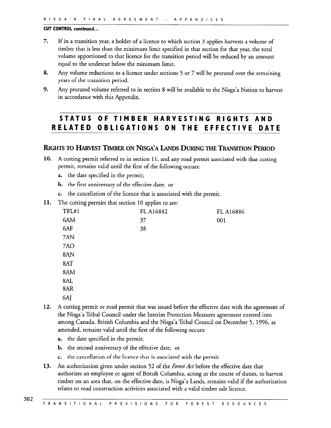CUT CONTROL continued...

- 7. If in a transition year, a holder of a licence to which section 3 applies harvests a volume of timber that is less than the minimum limit specified in that section for that year, the total volume apportioned to that licence for the transition period will be reduced by an amount equal to the undercut below the minimum limit.
- 8. Any volume reductions to a licence under sections 5 or 7 will be prorated over the remaining years of the transition period.
- 9. Any prorated volume referred to in section 8 will be available to the Nisga'a Nation to harvest in accordance with this Appendix.

# STATUS OF TIMBER HARVESTING RIGHTS AND RELATED OBLIGATIONS ON THE EFFECTIVE DATE

### RIGHTS TO HARVEST TIMBER ON NISGA'A LANDS DURING THE TRANSITION PERIOD

- 10. A cutting permit referred to in section 11, and any road permit associated with that cutting permit, remains valid until the first of the following occurs:
	- a. the date specified in the permit;
	- b. the first anniversary of the effective date; or
	- c. the cancellation of the licence that is associated with the permit.
- 11. The cutting permits that section 10 applies to are:

| TFL#1 | FL A16882       | FL A16886 |
|-------|-----------------|-----------|
| 6AM   | 37              | 001       |
| 6AF   | 38 <sup>°</sup> |           |
| 7AN   |                 |           |
| 7AO   |                 |           |
| 8AN   |                 |           |
| 8AT   |                 |           |
| 8AM   |                 |           |
| 8AL   |                 |           |
| 8AR   |                 |           |
| 6AJ   |                 |           |

- 12. A cutting permit or road permit that was issued before the effective date with the agreement of the Nisga'a Tribal Council under the Interim Protection Measures agreement entered into among Canada, British Columbia and the Nisga'a Tribal Council on December 5, 1996, as amended, remains valid until the first of the following occurs:
	- a. the date specified in the permit;
	- b. the second anniversary of the effective date; or
	- c. the cancellation of the licence that is associated with the permit.
- 13. An authorization given under section 52 of the *Forest Act* before the effective date that authorizes an employee or agent of British Columbia, acting in the course of duties, to harvest timber on an area that, on the effective date, is Nisga'a Lands, remains valid if the authorization relates to road construction activities associated with a valid timber sale licence.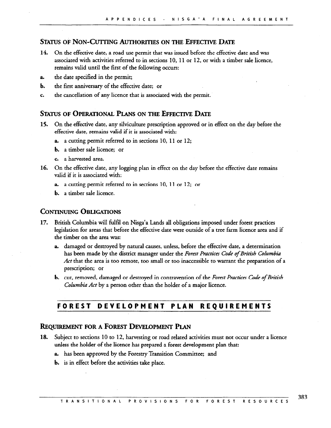#### STATUS OF NON-CUTTING AUTHORITIES ON THE EFFECTIVE DATE

- 14. On the effective date, a road use permit that was issued before the effective date and was associated with activities referred to in sections 10, 11 or 12, or with a timber sale licence, remains valid until the first of the following occurs:
- a. the date specified in the permit;
- b. the first anniversary of the effective date; or
- C. the cancellation of any licence that is associated with the permit.

#### STATUS OF OPERATIONAL PLANS ON THE EFFECTIVE DATE

- 15. On the effective date, any silviculture prescription approved or in effect on the day before the effective date, remains valid if it is associated with:
	- a. a cutting permit referred to in sections 10, 11 or 12;
	- b. a timber sale licence; or
	- c. a harvested area.
- 16. On the effective date, any logging plan in effect on the day before the effective date remains valid if it is associated with:
	- a. a cutting permit referred to in sections 10, 11 or 12; or
	- b. a timber sale licence.

#### CONTINUING OBLIGATIONS

- 17. British Columbia will fulfil on Nisga'a Lands all obligations imposed under forest practices legislation for areas that before the effective date were outside of a tree farm licence area and if the timber on the area was:
	- a. damaged or destroyed by natural causes, unless, before the effective date, a determination has been made by the district manager under the Forest Practices Code of British Columbia Act that the area is too remote, too small or too inaccessible to warrant the preparation of a prescription; or
	- b. cut, removed, damaged or destroyed in contravention of the Forest Practices Code of British Columbia Act by a person other than the holder of a major licence.

### FOREST DEVELOPMENT PLAN REQUIREMENTS

#### REQUIREMENT FOR A FOREST DEVELOPMENT PLAN

- 18. Subject to sections 10 to 12, harvesting or road related activities must not occur under a licence unless the holder of the licence has prepared a forest development plan that:
	- a. has been approved by the Forestry Transition Committee; and
	- b. is in effect before the activities take place.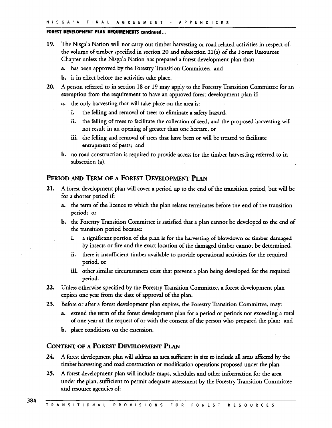#### FOREST DEVELOPMENT PLAN REQUIREMENTS continued...

- 19. The Nisga'a Nation will not carry out timber harvesting or road related activities in respect ofthe volume of timber specified in section 20 and subsection  $21(a)$  of the Forest Resources Chapter unless the Nisga'a Nation has prepared a forest development plan that:
	- a. has been approved by the Forestry Transition Committee; and
	- b. is in effect before the activities take place.
- 20. A person referred to in section 18 or 19 may apply to the Forestry Transition Committee for an exemption from the requirement to have an approved forest development plan if:
	- the only harvesting that will take place on the area is:
		- i. the felling and removal of trees to eliminate a safety hazard,
		- ii. the felling of trees to facilitate the collection of seed, and the proposed harvesting will not result in an opening of greater than one hectare, or
		- iii. the felling and removal of trees that have been or will be treated to facilitate entrapment of pests; and
	- b. no road construction is required to provide access for the timber harvesting referred to in subsection (a).

#### PERIOD AND TERM OF A FOREST DEVELOPMENT PLAN

- 21. A forest development plan will cover a period up to the end of the transition period, but will be for a shorter period if:
	- **a.** the term of the licence to which the plan relates terminates before the end of the transition period; or
	- b. the Forestry Transition Committee is satisfied that a plan cannot be developed to the end of the transition period because:
		- . 1. a significant portion of the plan is for the harvesting of blowdown or timber damaged by insects or fire and the exact location of the damaged timber cannot be determined,
		- ii. there is insufficient timber available to provide operational activities for the required period, or
		- iii. other similar circumstances exist that prevent a plan being developed for the required period.
- 22. Unless otherwise specified by the Forestry Transition Committee, a forest development plan expires one year from the date of approval of the plan.
- 23. Before or after a forest development plan expires, the Forestry Transition Committee, may:
	- a. extend the term of the forest development plan for a period or periods not exceeding a total of one year at the request of or with the consent of the person who prepared the plan; and
	- b. place conditions on the extension.

#### CONTENT OF A FOREST DEVELOPMENT PLAN

- 24. A forest development plan will address an area sufficient in size to include all areas affected by the timber harvesting and road construction or modification operations proposed under the plan.
- 25. A forest development plan will include maps, schedules and other information for the area under the plan, sufficient to permit adequate assessment by the Forestry Transition Committee and resource agencies of: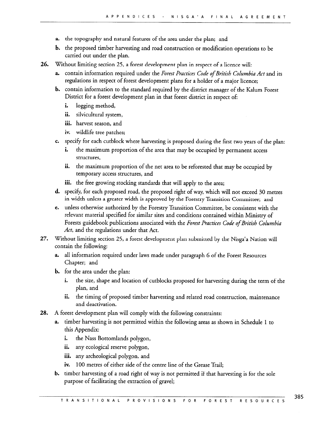- a. the topography and natural features of the area under the plan; and
- b. the proposed timber harvesting and road construction or modification operations to be carried out under the plan.
- 26. Without limiting section 25, a forest development plan in respect of a licence will:
	- contain information required under the Forest Practices Code of British Columbia Act and its regulations in respect of forest development plans for a holder of a major licence;
	- b. contain information to the standard required by the district manager of the Kalum Forest District for a forest development plan in that forest district in respect of:
		- i. logging method,
		- ii. silvicultural system,
		- iii. harvest season, and
		- iv. wildlife tree patches;
	- c. specify for each cutblock where harvesting is proposed during the first two years of the plan:
		- i. the maximum proportion of the area that may be occupied by permanent access structures,
		- ii. the maximum proportion of the net area to be reforested that may be occupied by temporary access structures, and
		- iii. the free growing stocking standards that will apply to the area;
	- d. specify for each proposed road, the proposed right of way, which will not exceed 30 metres in width unless a greater width is approved by the Forestry Transition Committee; and
	- e. unless otherwise authorized by the Forestry Transition Committee, be consistent with the relevant material specified for similar sites and conditions contained within Ministry of Forests guidebook publications associated with the Forest Practices Code of British Columbia Act, and the regulations under that Act.
- 27. Without limiting section 25, a forest development plan submitted by the Nisga'a Nation will contain the following:
	- all information required under laws made under paragraph 6 of the Forest Resources Chapter; and
	- b. for the area under the plan:
		- **i.** the size, shape and location of cutblocks proposed for harvesting during the term of the plan, and
		- ii. the timing of proposed timber harvesting and related road construction, maintenance and deactivation.
- 28. A forest development plan will comply with the following constraints:
	- a. timber harvesting is not permitted within the following areas as shown in Schedule 1 to this Appendix:
		- i. the Nass Bottomlands polygon,
		- . . any ecological reserve polygon,
		- iii. any archeological polygon, and
		- iv. 100 metres of either side of the centre line of the Grease Trail;
	- b. timber harvesting of a road right of way is not permitted if that harvesting is for the sole purpose of facilitating the extraction of gravel;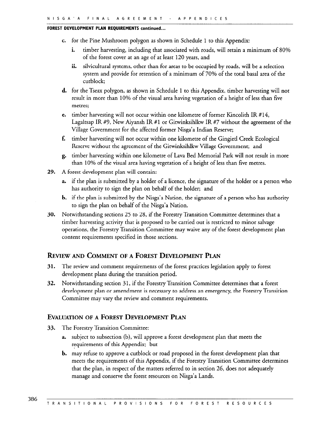#### FOREST DEVELOPMENT PLAN REQUIREMENTS continued...

- c. for the Pine Mushroom polygon as shown in Schedule 1 to this Appendix:
	- i. timber harvesting, including that associated with roads, will retain a minimum of 80% of the forest cover at an age of at least 120 years, and
	- ii. silvicultural systems, other than for areas to be occupied by roads, will be a selection system and provide for retention of a minimum of 70% of the total basal area of the cutblock;
- d. for the Tseax polygon, as shown in Schedule 1 to this Appendix, timber harvesting will not result in more than 10% of the visual area having vegetation of a height of less than five metres;
- e. timber harvesting will not occur within one kilometre of former Kincolith IR #14, Lagaltsap IR #9, New Aiyansh IR #l or Gitwinksihlkw IR #7 without the agreement of the Village Government for the affected former Nisga'a Indian Reserve;
- f. timber harvesting will not occur within one kilometre of the Gingietl Creek Ecological Reserve without the agreement of the Gitwinksihlkw Village Government; and
- g. timber harvesting within one kilometre of Lava Bed Memorial Park will not result in more than 10% of the visual area having vegetation of a height of less than five metres.
- 29. A forest development plan will contain:
	- a. if the plan is submitted by a holder of a licence, the signature of the holder or a person who has authority to sign the plan on behalf of the holder; and
	- b. if the plan is submitted by the Nisga'a Nation, the signature of a person who has authority to sign the plan on behalf of the Nisga'a Nation.
- 30. Notwithstanding sections 25 to 28, if the Forestry Transition Committee determines that a timber harvesting activity that is proposed to be carried out is restricted to minor salvage operations, the Forestry Transition Committee may waive any of the forest development plan content requirements specified in those sections.

### REVIEW AND COMMENT OF A FOREST DEVELOPMENT PLAN

- 31. The review and comment requirements of the forest practices legislation apply to forest development plans during the transition period.
- 32. Notwithstanding section 31, if the Forestry Transition Committee determines that a forest development plan or amendment is necessary to address an emergency, the Forestry Transition Committee may vary the review and comment requirements.

#### EVALUATION OF A FOREST DEVELOPMENT PLAN

- 33. The Forestry Transition Committee:
	- a. subject to subsection (b), will approve a forest development plan that meets the requirements of this Appendix; but
	- **b.** may refuse to approve a cutblock or road proposed in the forest development plan that meets the requirements of this Appendix, if the Forestry Transition Committee determines that the plan, in respect of the matters referred to in section 26, does not adequately manage and conserve the forest resources on Nisga'a Lands.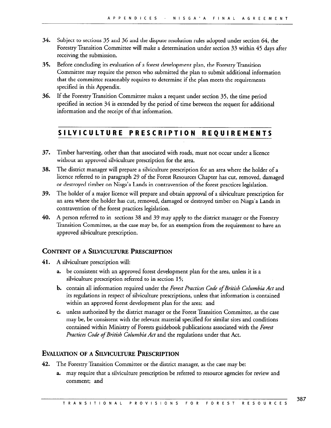- 34. Subject to sections 35 and 36 and the dispute resolution rules adopted under section 64, the Forestry Transition Committee will make a determination under section 33 within 45 days after receiving the submission.
- 35. Before concluding its evaluation of a forest development plan, the Forestry Transition Committee may require the person who submitted the plan to submit additional information that the committee reasonably requires to determine if the plan meets the requirements specified in this Appendix.
- 36. If the Forestry Transition Committee makes a request under section 35, the time period specified in section 34 is extended by the period of time between the request for additional information and the receipt of that information.

## SILVICULTURE PRESCRIPTION REQUIREMENTS

- 37. Timber harvesting, other than that associated with roads, must not occur under a licence without an approved silviculture prescription for the area.
- 38. The district manager will prepare a silviculture prescription for an area where the holder of a licence referred to in paragraph 29 of the Forest Resources Chapter has cut, removed, damaged or destroyed timber on Nisga'a Lands in contravention of the forest practices legislation.
- 39. The holder of a major licence will prepare and obtain approval of a silviculture prescription for an area where the holder has cut, removed, damaged or destroyed timber on Nisga'a Lands in contravention of the forest practices legislation.
- 40. A person referred to in sections 38 and 39 may apply to the district manager or the Forestry Transition Committee, as the case may be, for an exemption from the requirement to have an approved silviculture prescription.

## CONTENT OF A SILWCULTURE PREsCRIPTION

- 41. A silviculture prescription will:
	- a. be consistent with an approved forest development plan for the area, unless it is a silviculture prescription referred to in section 15;
	- **b.** contain all information required under the Forest Practices Code of British Columbia Act and its regulations in respect of silviculture prescriptions, unless that information is contained within an approved forest development plan for the area; and
	- C. unless authorized by the district manager or the Forest Transition Committee, as the case may be, be consistent with the relevant material specified for similar sites and conditions contained within Ministry of Forests guidebook publications associated with the Forest Practices Code of British Columbia Act and the regulations under that Act.

## EVALUATION OF A SILMCULTURE PRESCRIPTION

- 42. The Forestry Transition Committee or the district manager, as the case may be:
	- a. may require that a silviculture prescription be referred to resource agencies for review and comment; and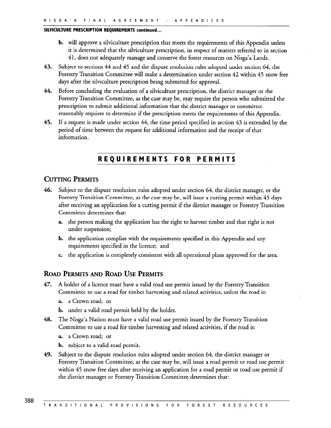#### SILVICULTURE PRESCRIPTION REQUIREMENTS continued...

- b. will approve a silviculture prescription that meets the requirements of this Appendix unless it is determined that the silviculture prescription, in respect of matters referred to in section 4 1, does not adequately manage and conserve the forest resources on Nisga'a Lands.
- 43. Subject to sections 44 and 45 and the dispute resolution rules adopted under section 64, the Forestry Transition Committee will make a determination under section 42 within 45 snow free days after the silviculture prescription being submitted for approval.
- 44. Before concluding the evaluation of a silviculture prescription, the district manager or the Forestry Transition Committee, as the case may be, may require the person who submitted the prescription to submit additional information that the district manager or committee reasonably requires to determine if the prescription meets the requirements of this Appendix.
- 45. If a request is made under section 44, the time period specified in section 43 is extended by the period of time between the request for additional information and the receipt of that information.

## REQUIREMENTS FOR PERMITS

## CUTTING PERMITS

- 46. Subject to the dispute resolution rules adopted under section 64, the district manager, or the Forestry Transition Committee, as the case may be, will issue a cutting permit within 45 days after receiving an application for a cutting permit if the district manager or Forestry Transition Committee determines that:
	- **a.** the person making the application has the right to harvest timber and that right is not under suspension;
	- b. the application complies with the requirements specified in this Appendix and any requirements specified in the licence; and
	- c. the application is completely consistent with all operational plans approved for the area.

## ROAD PERMITS AND ROAD USE PERMITS

- 47. A holder of a licence must have a valid road use permit issued by the Forestry Transition Committee to use a road for timber harvesting and related activities, unless the road is:
	- a. a Crown road; or
	- b. under a valid road permit held by the holder.
- 48. The Nisga'a Nation must have a valid road use permit issued by the Forestry Transition Committee to use a road for timber harvesting and related activities, if the road is:
	- a. a Crown road; or
	- b. subject to a valid road permit.
- 49. Subject to the dispute resolution rules adopted under section 64, the district manager or Forestry Transition Committee, as the case may be, will issue a road permit or road use permit within 45 snow free days after receiving an application for a road permit or road use permit if the district manager or Forestry Transition Committee determines that: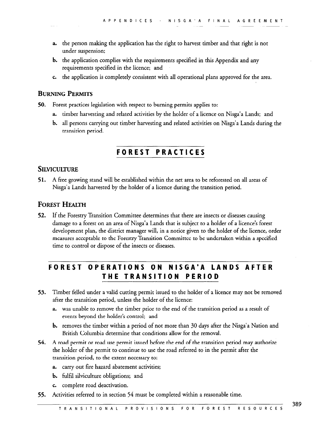- **a.** the person making the application has the right to harvest timber and that right is not under suspension;
- b. the application complies with the requirements specified in this Appendix and any requirements specified in the licence; and
- c. the application is completely consistent with all operational plans approved for the area.

#### BURNING PERMITS

50. Forest practices legislation with respect to burning permits applies to:

- a. timber harvesting and related activities by the holder of a licence on Nisga'a Lands: and
- b. all persons carrying out timber harvesting and related activities on Nisga'a Lands during the transition period.

# FOREST PRACTICES

#### **SILVICULTURE**

51. A free growing stand will be established within the net area to be reforested on all areas of Nisga'a Lands harvested by the holder of a licence during the transition period.

### FOREST HEALTH

52. If the Forestry Transition Committee determines that there are insects or diseases causing damage to a forest on an area of Nisga'a Lands that is subject to a holder of a licence's forest development plan, the district manager will, in a notice given to the holder of the licence, order measures acceptable to the Forestry Transition Committee to be undertaken within a specified time to control or dispose of the insects or diseases.

# FOREST OPERATIONS ON NISGA'A LANDS AFTER THE TRANSITION PERIOD

- $\sim$  Timber felled under a valid cutting permit is under other of a licence may not be removed to the holder may not be removed to the holder of a licence may not be removed to the holder may not be removed to the holder  $\frac{1}{\sqrt{2}}$  and the transition period, unless the holder of the licence:
	- a. was unable to remove the time the time prior to the transition period as a result of the transition period as a result of the transition period as a result of the transition period as a result of the transition period was unable to remove the throef prior to
	- b. removes the timber within a period of not more than 30 days after the Nisga'a Nation and British Columbia determine that conditions allow for the removal.
- 54. A road permit or road use permit issued before the end of the transition period may authorize the holder permit of to all use permit issued before the end of the transition period may at the holder of the permit to continue to use the road referred to in the permit after the transition period, to the extent necessary to:

T R A N S I N S I N S I N A N S I N A L PROVISIONS FOR FOREST RESOURCES FOR FOREST RESOURCES FOR FOREST RESOURC

- a. carry out fire hazard abatement activities;
- **b.** fulfil silviculture obligations; and **c.** complete road deactivation.
- 
- 55. Activities referred to in section 54 must be completed within a reasonable time.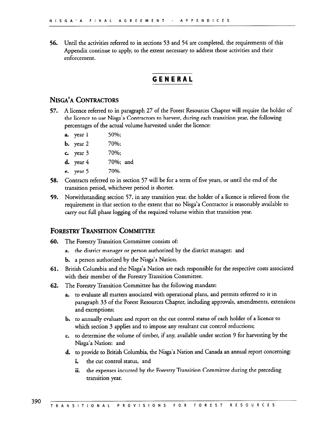56. Until the activities referred to in sections 53 and 54 are completed, the requirements of this Appendix continue to apply, to the extent necessary to address those activities and their enforcement.

## GENERAL

## NISGA'A CONTRACTORS

- 57. A licence referred to in paragraph 27 of the Forest Resources Chapter will require the holder of the licence to use Nisga'a Contractors to harvest, during each transition year, the following percentages of the actual volume harvested under the licence:
	- **a.** year 1 50%; **b.** year 2 70%; c. year 3 70%; **d.** year 4 70%; and e. year 5 70%.
- 58. Contracts referred to in section 57 will be for a term of five years, or until the end of the transition period, whichever period is shorter.
- 59. Notwithstanding section 57, in any transition year, the holder of a licence is relieved from the requirement in that section to the extent that no Nisga'a Contractor is reasonably available to carry out full phase logging of the required volume within that transition year.

### FORESTRY TRANSITION COMMITTEE

- 60. The Forestry Transition Committee consists of:
	- a. the district manager or person authorized by the district manager; and
	- b. a person authorized by the Nisga'a Nation.
- 61. British Columbia and the Nisga'a Nation are each responsible for the respective costs associated with their member of the Forestry Transition Committee.
- 62. The Forestry Transition Committee has the following mandate:
	- a. to evaluate all matters associated with operational plans, and permits referred to it in paragraph 33 of the Forest Resources Chapter, including approvals, amendments, extensions and exemptions;
	- b. to annually evaluate and report on the cut control status of each holder of a licence to which section 3 applies and to impose any resultant cut control reductions;
	- C. to determine the volume of timber, if any, available under section 9 for harvesting by the Nisga'a Nation; and
	- d. to provide to British Columbia, the Nisga'a Nation and Canada an annual report concerning:
		- i. the cut control status, and
		- ii. the expenses incurred by the Forestry Transition Committee during the preceding transition year.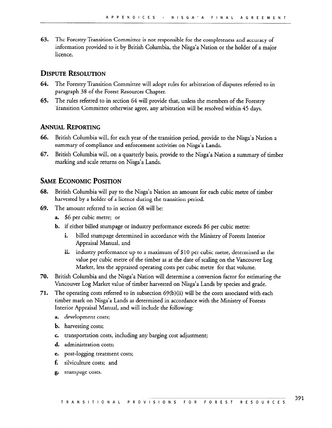63. The Forestry Transition Committee is not responsible for the completeness and accuracy of information provided to it by British Columbia, the Nisga'a Nation or the holder of a major licence.

#### **DISPUTE RESOLUTION**

- 64. The Forestry Transition Committee will adopt rules for arbitration of disputes referred to in paragraph 38 of the Forest Resources Chapter.
- 65. The rules referred to in section 64 will provide that, unless the members of the Forestry Transition Committee otherwise agree, any arbitration will be resolved within 45 days.

#### **ANNUAL REPORTING**

- 66. British Columbia will, for each year of the transition period, provide to the Nisga'a Nation a summary of compliance and enforcement activities on Nisga'a Lands.
- 67. British Columbia will, on a quarterly basis, provide to the Nisga'a Nation a summary of timber marking and scale returns on Nisga'a Lands.

### SAME ECONOMIC POSITION

- 68. British Columbia will pay to the Nisga'a Nation an amount for each cubic metre of timber harvested by a holder of a licence during the transition period.
- 69. The amount referred to in section 68 will be:
	- a. \$6 per cubic metre; or
	- b. if either billed stumpage or industry performance exceeds \$6 per cubic metre:
		- i. billed stumpage determined in accordance with the Ministry of Forests Interior Appraisal Manual, and
		- i. industry performance up to a maximum of \$10 per cubic metre, determined as the value per cubic metre of the timber as at the date of scaling on the Vancouver Log Market, less the appraised operating costs per cubic metre for that volume.
- 70. British Columbia and the Nisga'a Nation will determine a conversion factor for estimating the Vancouver Log Market value of timber harvested on Nisga'a Lands by species and grade.
- 71. The operating costs referred to in subsection 69(b)(ii) will be the costs associated with each timber mark on Nisga'a Lands as determined in accordance with the Ministry of Forests Interior Appraisal Manual, and will include the following:
	- a. development costs;
	- b. harvesting costs;
	- c. transportation costs, including any barging cost adjustment;
	- d. administration costs;
	- e. post-logging treatment costs;
	- E silviculture costs; and
	- g. stumpage costs.